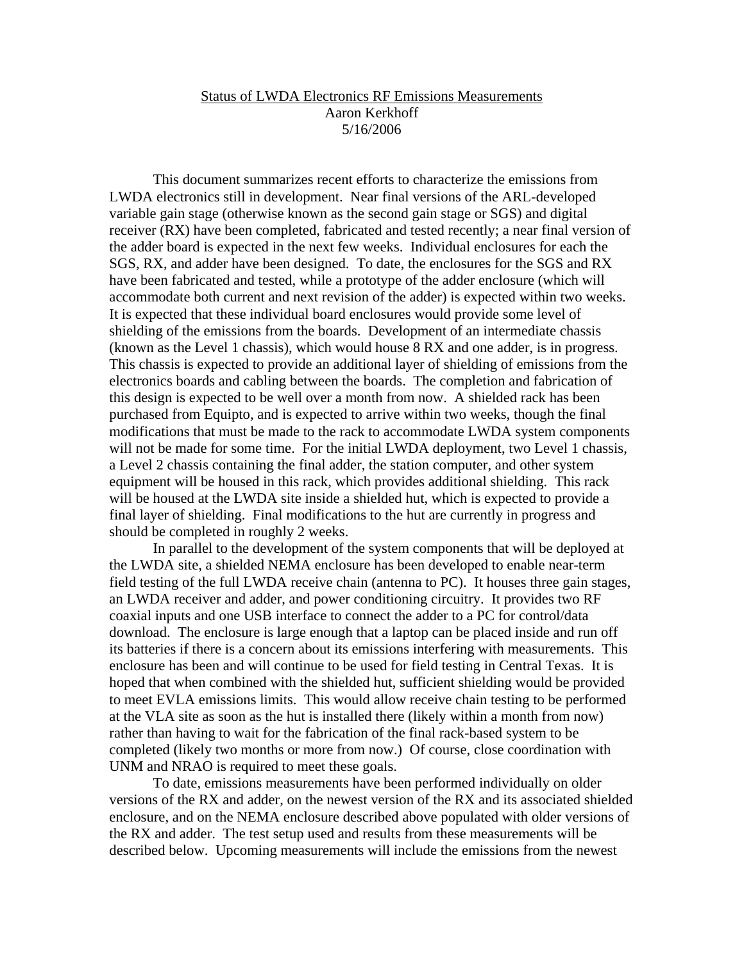## Status of LWDA Electronics RF Emissions Measurements Aaron Kerkhoff 5/16/2006

This document summarizes recent efforts to characterize the emissions from LWDA electronics still in development. Near final versions of the ARL-developed variable gain stage (otherwise known as the second gain stage or SGS) and digital receiver (RX) have been completed, fabricated and tested recently; a near final version of the adder board is expected in the next few weeks. Individual enclosures for each the SGS, RX, and adder have been designed. To date, the enclosures for the SGS and RX have been fabricated and tested, while a prototype of the adder enclosure (which will accommodate both current and next revision of the adder) is expected within two weeks. It is expected that these individual board enclosures would provide some level of shielding of the emissions from the boards. Development of an intermediate chassis (known as the Level 1 chassis), which would house 8 RX and one adder, is in progress. This chassis is expected to provide an additional layer of shielding of emissions from the electronics boards and cabling between the boards. The completion and fabrication of this design is expected to be well over a month from now. A shielded rack has been purchased from Equipto, and is expected to arrive within two weeks, though the final modifications that must be made to the rack to accommodate LWDA system components will not be made for some time. For the initial LWDA deployment, two Level 1 chassis, a Level 2 chassis containing the final adder, the station computer, and other system equipment will be housed in this rack, which provides additional shielding. This rack will be housed at the LWDA site inside a shielded hut, which is expected to provide a final layer of shielding. Final modifications to the hut are currently in progress and should be completed in roughly 2 weeks.

In parallel to the development of the system components that will be deployed at the LWDA site, a shielded NEMA enclosure has been developed to enable near-term field testing of the full LWDA receive chain (antenna to PC). It houses three gain stages, an LWDA receiver and adder, and power conditioning circuitry. It provides two RF coaxial inputs and one USB interface to connect the adder to a PC for control/data download. The enclosure is large enough that a laptop can be placed inside and run off its batteries if there is a concern about its emissions interfering with measurements. This enclosure has been and will continue to be used for field testing in Central Texas. It is hoped that when combined with the shielded hut, sufficient shielding would be provided to meet EVLA emissions limits. This would allow receive chain testing to be performed at the VLA site as soon as the hut is installed there (likely within a month from now) rather than having to wait for the fabrication of the final rack-based system to be completed (likely two months or more from now.) Of course, close coordination with UNM and NRAO is required to meet these goals.

To date, emissions measurements have been performed individually on older versions of the RX and adder, on the newest version of the RX and its associated shielded enclosure, and on the NEMA enclosure described above populated with older versions of the RX and adder. The test setup used and results from these measurements will be described below. Upcoming measurements will include the emissions from the newest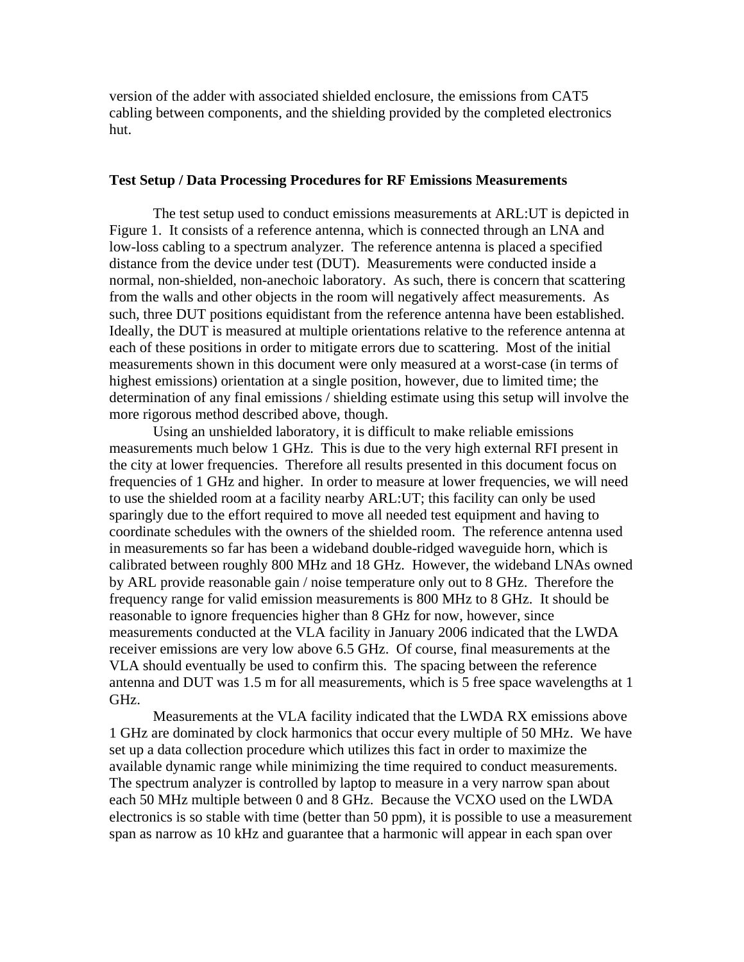version of the adder with associated shielded enclosure, the emissions from CAT5 cabling between components, and the shielding provided by the completed electronics hut.

## **Test Setup / Data Processing Procedures for RF Emissions Measurements**

 The test setup used to conduct emissions measurements at ARL:UT is depicted in Figure 1. It consists of a reference antenna, which is connected through an LNA and low-loss cabling to a spectrum analyzer. The reference antenna is placed a specified distance from the device under test (DUT). Measurements were conducted inside a normal, non-shielded, non-anechoic laboratory. As such, there is concern that scattering from the walls and other objects in the room will negatively affect measurements. As such, three DUT positions equidistant from the reference antenna have been established. Ideally, the DUT is measured at multiple orientations relative to the reference antenna at each of these positions in order to mitigate errors due to scattering. Most of the initial measurements shown in this document were only measured at a worst-case (in terms of highest emissions) orientation at a single position, however, due to limited time; the determination of any final emissions / shielding estimate using this setup will involve the more rigorous method described above, though.

 Using an unshielded laboratory, it is difficult to make reliable emissions measurements much below 1 GHz. This is due to the very high external RFI present in the city at lower frequencies. Therefore all results presented in this document focus on frequencies of 1 GHz and higher. In order to measure at lower frequencies, we will need to use the shielded room at a facility nearby ARL:UT; this facility can only be used sparingly due to the effort required to move all needed test equipment and having to coordinate schedules with the owners of the shielded room. The reference antenna used in measurements so far has been a wideband double-ridged waveguide horn, which is calibrated between roughly 800 MHz and 18 GHz. However, the wideband LNAs owned by ARL provide reasonable gain / noise temperature only out to 8 GHz. Therefore the frequency range for valid emission measurements is 800 MHz to 8 GHz. It should be reasonable to ignore frequencies higher than 8 GHz for now, however, since measurements conducted at the VLA facility in January 2006 indicated that the LWDA receiver emissions are very low above 6.5 GHz. Of course, final measurements at the VLA should eventually be used to confirm this. The spacing between the reference antenna and DUT was 1.5 m for all measurements, which is 5 free space wavelengths at 1 GHz.

 Measurements at the VLA facility indicated that the LWDA RX emissions above 1 GHz are dominated by clock harmonics that occur every multiple of 50 MHz. We have set up a data collection procedure which utilizes this fact in order to maximize the available dynamic range while minimizing the time required to conduct measurements. The spectrum analyzer is controlled by laptop to measure in a very narrow span about each 50 MHz multiple between 0 and 8 GHz. Because the VCXO used on the LWDA electronics is so stable with time (better than 50 ppm), it is possible to use a measurement span as narrow as 10 kHz and guarantee that a harmonic will appear in each span over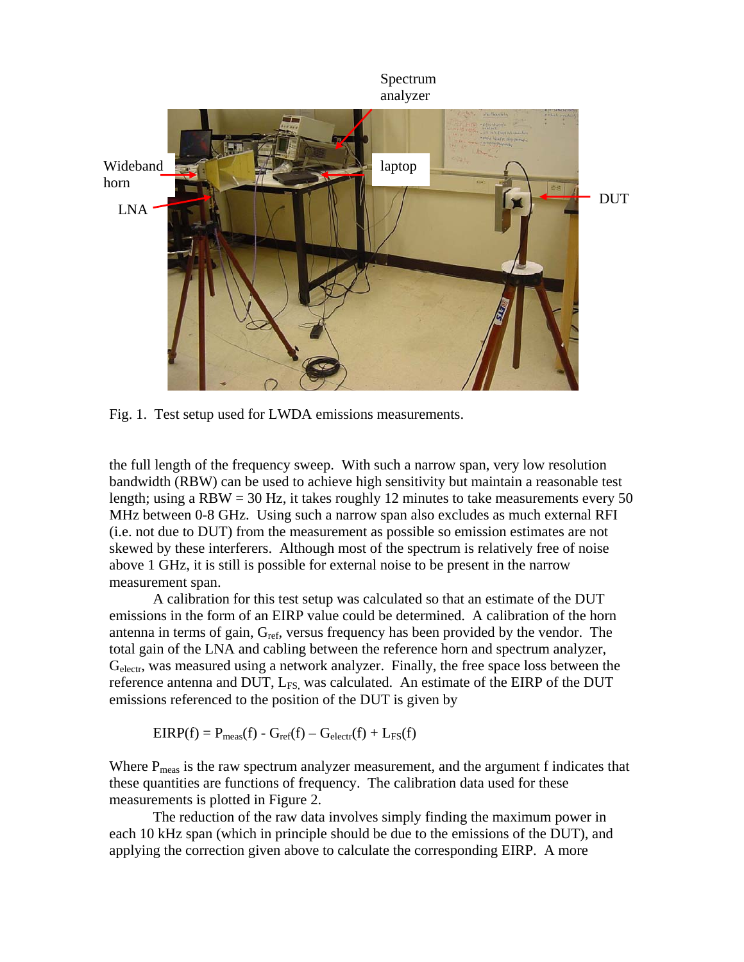

Fig. 1. Test setup used for LWDA emissions measurements.

the full length of the frequency sweep. With such a narrow span, very low resolution bandwidth (RBW) can be used to achieve high sensitivity but maintain a reasonable test length; using a RBW = 30 Hz, it takes roughly 12 minutes to take measurements every 50 MHz between 0-8 GHz. Using such a narrow span also excludes as much external RFI (i.e. not due to DUT) from the measurement as possible so emission estimates are not skewed by these interferers. Although most of the spectrum is relatively free of noise above 1 GHz, it is still is possible for external noise to be present in the narrow measurement span.

 A calibration for this test setup was calculated so that an estimate of the DUT emissions in the form of an EIRP value could be determined. A calibration of the horn antenna in terms of gain,  $G_{ref}$ , versus frequency has been provided by the vendor. The total gain of the LNA and cabling between the reference horn and spectrum analyzer, Gelectr, was measured using a network analyzer. Finally, the free space loss between the reference antenna and DUT,  $L_{FS}$  was calculated. An estimate of the EIRP of the DUT emissions referenced to the position of the DUT is given by

$$
EIRP(f) = P_{meas}(f) - G_{ref}(f) - G_{electr}(f) + L_{FS}(f)
$$

Where  $P_{meas}$  is the raw spectrum analyzer measurement, and the argument f indicates that these quantities are functions of frequency. The calibration data used for these measurements is plotted in Figure 2.

 The reduction of the raw data involves simply finding the maximum power in each 10 kHz span (which in principle should be due to the emissions of the DUT), and applying the correction given above to calculate the corresponding EIRP. A more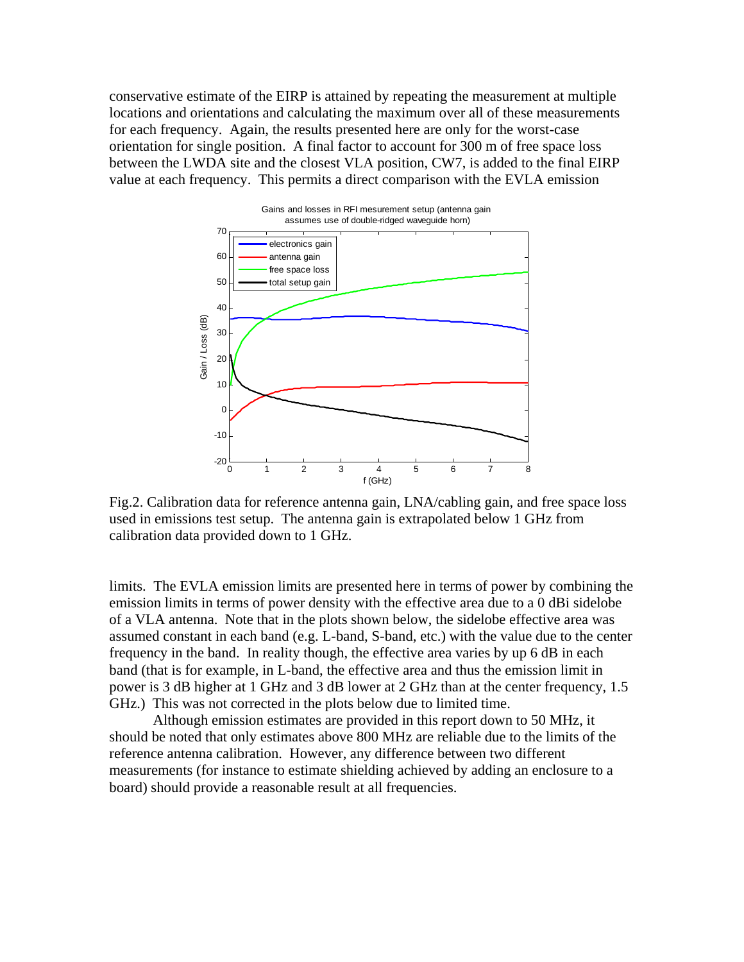conservative estimate of the EIRP is attained by repeating the measurement at multiple locations and orientations and calculating the maximum over all of these measurements for each frequency. Again, the results presented here are only for the worst-case orientation for single position. A final factor to account for 300 m of free space loss between the LWDA site and the closest VLA position, CW7, is added to the final EIRP value at each frequency. This permits a direct comparison with the EVLA emission



Fig.2. Calibration data for reference antenna gain, LNA/cabling gain, and free space loss used in emissions test setup. The antenna gain is extrapolated below 1 GHz from calibration data provided down to 1 GHz.

limits. The EVLA emission limits are presented here in terms of power by combining the emission limits in terms of power density with the effective area due to a 0 dBi sidelobe of a VLA antenna. Note that in the plots shown below, the sidelobe effective area was assumed constant in each band (e.g. L-band, S-band, etc.) with the value due to the center frequency in the band. In reality though, the effective area varies by up 6 dB in each band (that is for example, in L-band, the effective area and thus the emission limit in power is 3 dB higher at 1 GHz and 3 dB lower at 2 GHz than at the center frequency, 1.5 GHz.) This was not corrected in the plots below due to limited time.

Although emission estimates are provided in this report down to 50 MHz, it should be noted that only estimates above 800 MHz are reliable due to the limits of the reference antenna calibration. However, any difference between two different measurements (for instance to estimate shielding achieved by adding an enclosure to a board) should provide a reasonable result at all frequencies.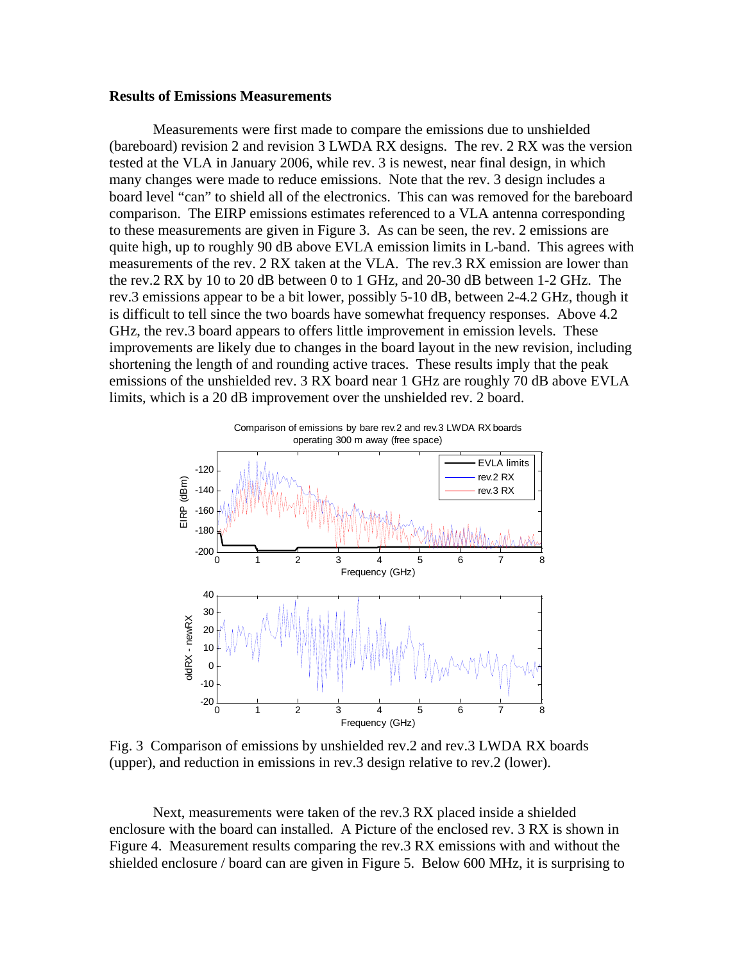## **Results of Emissions Measurements**

Measurements were first made to compare the emissions due to unshielded (bareboard) revision 2 and revision 3 LWDA RX designs. The rev. 2 RX was the version tested at the VLA in January 2006, while rev. 3 is newest, near final design, in which many changes were made to reduce emissions. Note that the rev. 3 design includes a board level "can" to shield all of the electronics. This can was removed for the bareboard comparison. The EIRP emissions estimates referenced to a VLA antenna corresponding to these measurements are given in Figure 3. As can be seen, the rev. 2 emissions are quite high, up to roughly 90 dB above EVLA emission limits in L-band. This agrees with measurements of the rev. 2 RX taken at the VLA. The rev.3 RX emission are lower than the rev.2 RX by 10 to 20 dB between 0 to 1 GHz, and 20-30 dB between 1-2 GHz. The rev.3 emissions appear to be a bit lower, possibly 5-10 dB, between 2-4.2 GHz, though it is difficult to tell since the two boards have somewhat frequency responses. Above 4.2 GHz, the rev.3 board appears to offers little improvement in emission levels. These improvements are likely due to changes in the board layout in the new revision, including shortening the length of and rounding active traces. These results imply that the peak emissions of the unshielded rev. 3 RX board near 1 GHz are roughly 70 dB above EVLA limits, which is a 20 dB improvement over the unshielded rev. 2 board.



Fig. 3 Comparison of emissions by unshielded rev.2 and rev.3 LWDA RX boards (upper), and reduction in emissions in rev.3 design relative to rev.2 (lower).

Next, measurements were taken of the rev.3 RX placed inside a shielded enclosure with the board can installed. A Picture of the enclosed rev. 3 RX is shown in Figure 4. Measurement results comparing the rev.3 RX emissions with and without the shielded enclosure / board can are given in Figure 5. Below 600 MHz, it is surprising to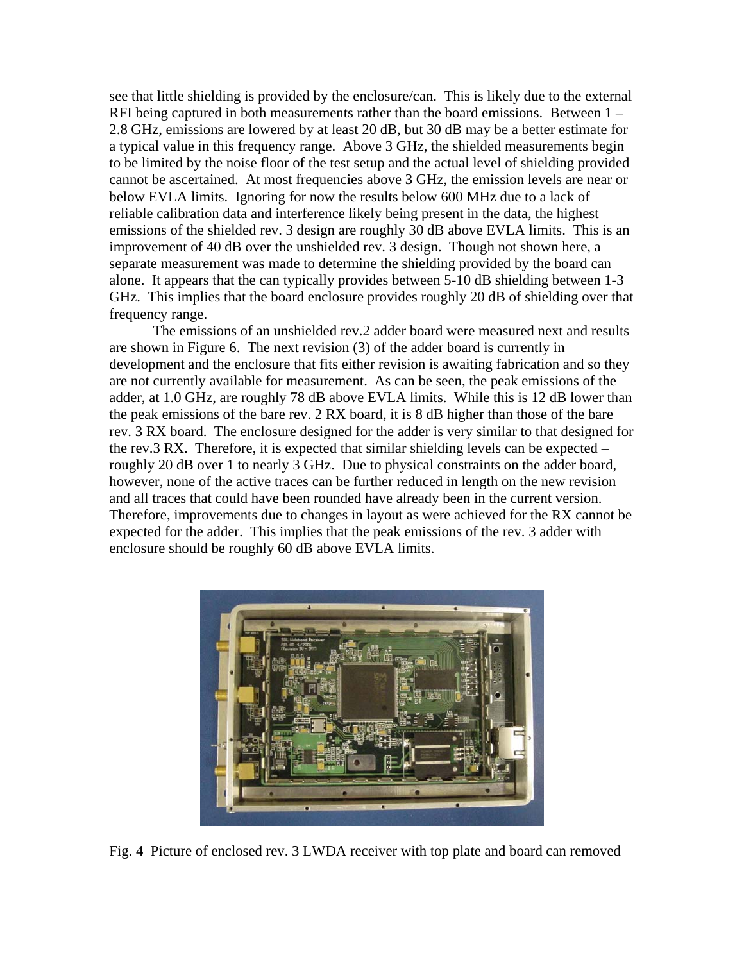see that little shielding is provided by the enclosure/can. This is likely due to the external RFI being captured in both measurements rather than the board emissions. Between 1 – 2.8 GHz, emissions are lowered by at least 20 dB, but 30 dB may be a better estimate for a typical value in this frequency range. Above 3 GHz, the shielded measurements begin to be limited by the noise floor of the test setup and the actual level of shielding provided cannot be ascertained. At most frequencies above 3 GHz, the emission levels are near or below EVLA limits. Ignoring for now the results below 600 MHz due to a lack of reliable calibration data and interference likely being present in the data, the highest emissions of the shielded rev. 3 design are roughly 30 dB above EVLA limits. This is an improvement of 40 dB over the unshielded rev. 3 design. Though not shown here, a separate measurement was made to determine the shielding provided by the board can alone. It appears that the can typically provides between 5-10 dB shielding between 1-3 GHz. This implies that the board enclosure provides roughly 20 dB of shielding over that frequency range.

The emissions of an unshielded rev.2 adder board were measured next and results are shown in Figure 6. The next revision (3) of the adder board is currently in development and the enclosure that fits either revision is awaiting fabrication and so they are not currently available for measurement. As can be seen, the peak emissions of the adder, at 1.0 GHz, are roughly 78 dB above EVLA limits. While this is 12 dB lower than the peak emissions of the bare rev. 2 RX board, it is 8 dB higher than those of the bare rev. 3 RX board. The enclosure designed for the adder is very similar to that designed for the rev.3 RX. Therefore, it is expected that similar shielding levels can be expected – roughly 20 dB over 1 to nearly 3 GHz. Due to physical constraints on the adder board, however, none of the active traces can be further reduced in length on the new revision and all traces that could have been rounded have already been in the current version. Therefore, improvements due to changes in layout as were achieved for the RX cannot be expected for the adder. This implies that the peak emissions of the rev. 3 adder with enclosure should be roughly 60 dB above EVLA limits.



Fig. 4 Picture of enclosed rev. 3 LWDA receiver with top plate and board can removed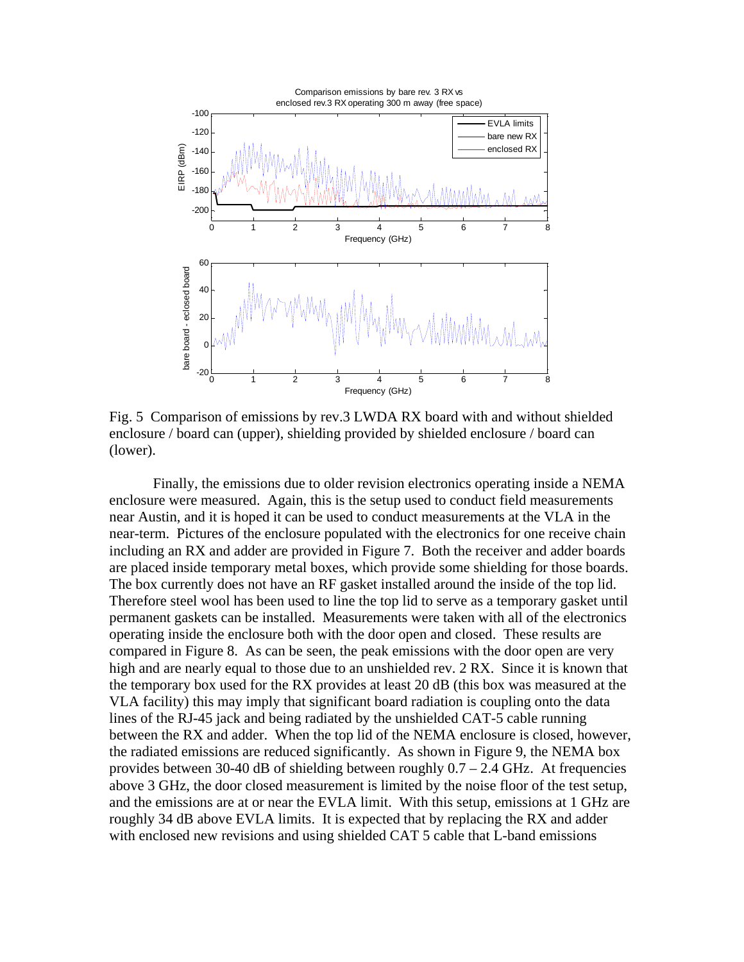

Fig. 5 Comparison of emissions by rev.3 LWDA RX board with and without shielded enclosure / board can (upper), shielding provided by shielded enclosure / board can (lower).

Finally, the emissions due to older revision electronics operating inside a NEMA enclosure were measured. Again, this is the setup used to conduct field measurements near Austin, and it is hoped it can be used to conduct measurements at the VLA in the near-term. Pictures of the enclosure populated with the electronics for one receive chain including an RX and adder are provided in Figure 7. Both the receiver and adder boards are placed inside temporary metal boxes, which provide some shielding for those boards. The box currently does not have an RF gasket installed around the inside of the top lid. Therefore steel wool has been used to line the top lid to serve as a temporary gasket until permanent gaskets can be installed. Measurements were taken with all of the electronics operating inside the enclosure both with the door open and closed. These results are compared in Figure 8. As can be seen, the peak emissions with the door open are very high and are nearly equal to those due to an unshielded rev. 2 RX. Since it is known that the temporary box used for the RX provides at least 20 dB (this box was measured at the VLA facility) this may imply that significant board radiation is coupling onto the data lines of the RJ-45 jack and being radiated by the unshielded CAT-5 cable running between the RX and adder. When the top lid of the NEMA enclosure is closed, however, the radiated emissions are reduced significantly. As shown in Figure 9, the NEMA box provides between 30-40 dB of shielding between roughly  $0.7 - 2.4$  GHz. At frequencies above 3 GHz, the door closed measurement is limited by the noise floor of the test setup, and the emissions are at or near the EVLA limit. With this setup, emissions at 1 GHz are roughly 34 dB above EVLA limits. It is expected that by replacing the RX and adder with enclosed new revisions and using shielded CAT 5 cable that L-band emissions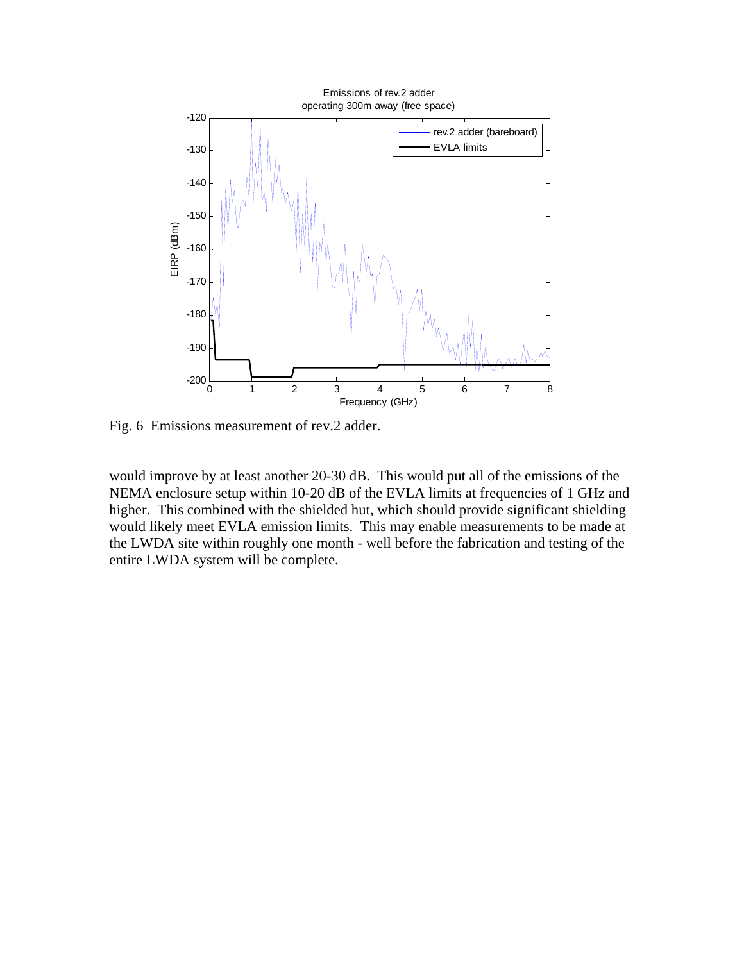

Fig. 6 Emissions measurement of rev.2 adder.

would improve by at least another 20-30 dB. This would put all of the emissions of the NEMA enclosure setup within 10-20 dB of the EVLA limits at frequencies of 1 GHz and higher. This combined with the shielded hut, which should provide significant shielding would likely meet EVLA emission limits. This may enable measurements to be made at the LWDA site within roughly one month - well before the fabrication and testing of the entire LWDA system will be complete.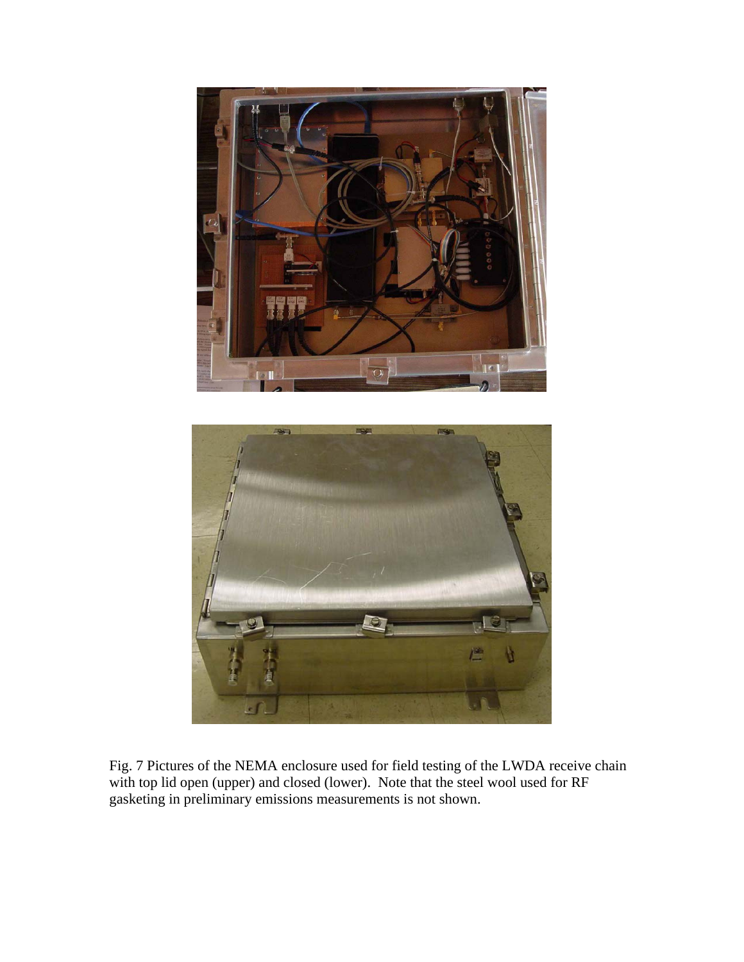



Fig. 7 Pictures of the NEMA enclosure used for field testing of the LWDA receive chain with top lid open (upper) and closed (lower). Note that the steel wool used for RF gasketing in preliminary emissions measurements is not shown.